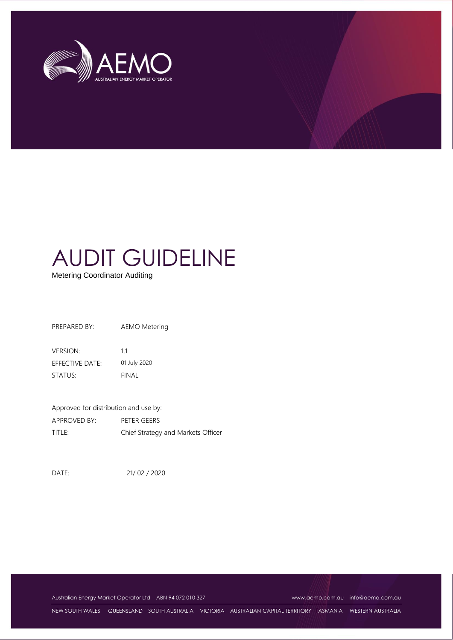

Metering Coordinator Auditing

PREPARED BY: AEMO Metering

VERSION: 1.1 EFFECTIVE DATE: 01 July 2020 STATUS: FINAL

Approved for distribution and use by: APPROVED BY: PETER GEERS TITLE: Chief Strategy and Markets Officer

DATE: 21/ 02 / 2020

Australian Energy Market Operator Ltd ABN 94 072 010 327 [www.aemo.com.au](http://www.aemo.com.au/) [info@aemo.com.au](mailto:info@aemo.com.au)

NEW SOUTH WALES QUEENSLAND SOUTH AUSTRALIA VICTORIA AUSTRALIAN CAPITAL TERRITORY TASMANIA WESTERN AUSTRALIA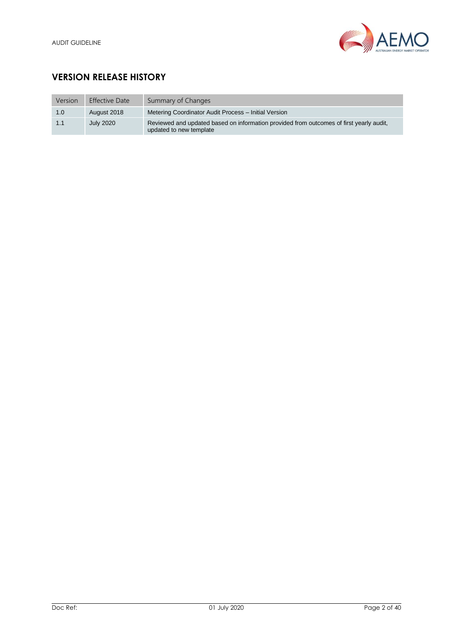

# **VERSION RELEASE HISTORY**

| Version | <b>Effective Date</b> | Summary of Changes                                                                                                 |
|---------|-----------------------|--------------------------------------------------------------------------------------------------------------------|
| 1.0     | August 2018           | Metering Coordinator Audit Process - Initial Version                                                               |
| 1.1     | <b>July 2020</b>      | Reviewed and updated based on information provided from outcomes of first yearly audit.<br>updated to new template |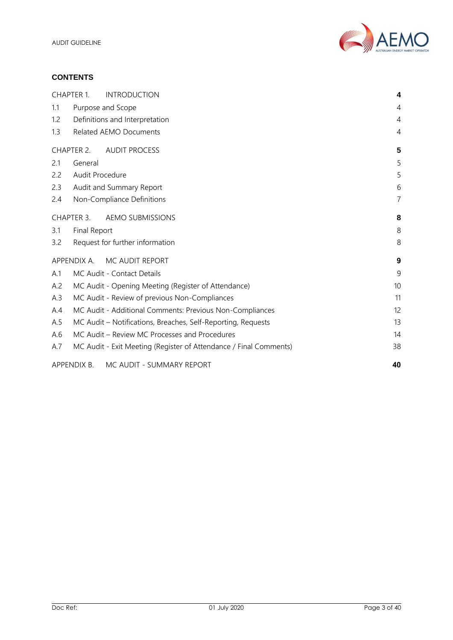

## **CONTENTS**

|     | <b>CHAPTER 1.</b> | <b>INTRODUCTION</b>                                               | 4              |
|-----|-------------------|-------------------------------------------------------------------|----------------|
| 1.1 |                   | Purpose and Scope                                                 | 4              |
| 1.2 |                   | Definitions and Interpretation                                    | 4              |
| 1.3 |                   | <b>Related AEMO Documents</b>                                     | $\overline{4}$ |
|     | CHAPTER 2.        | <b>AUDIT PROCESS</b>                                              | 5              |
| 2.1 | General           |                                                                   | 5              |
| 2.2 | Audit Procedure   |                                                                   | 5              |
| 2.3 |                   | Audit and Summary Report                                          | 6              |
| 2.4 |                   | Non-Compliance Definitions                                        | $\overline{7}$ |
|     | CHAPTER 3.        | <b>AEMO SUBMISSIONS</b>                                           | 8              |
| 3.1 | Final Report      |                                                                   | 8              |
| 3.2 |                   | Request for further information                                   | 8              |
|     | APPENDIX A.       | MC AUDIT REPORT                                                   | 9              |
| A.1 |                   | MC Audit - Contact Details                                        | 9              |
| A.2 |                   | MC Audit - Opening Meeting (Register of Attendance)               | 10             |
| A.3 |                   | MC Audit - Review of previous Non-Compliances                     | 11             |
| A.4 |                   | MC Audit - Additional Comments: Previous Non-Compliances          | 12             |
| A.5 |                   | MC Audit - Notifications, Breaches, Self-Reporting, Requests      | 13             |
| A.6 |                   | MC Audit - Review MC Processes and Procedures                     | 14             |
| A.7 |                   | MC Audit - Exit Meeting (Register of Attendance / Final Comments) | 38             |
|     | APPENDIX B.       | MC AUDIT - SUMMARY REPORT                                         | 40             |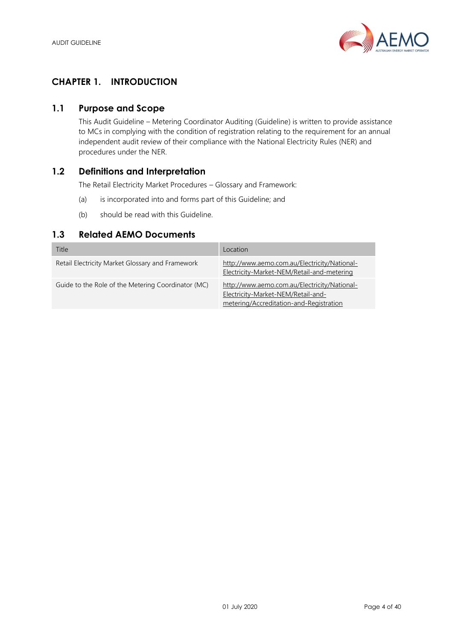

## <span id="page-3-0"></span>**CHAPTER 1. INTRODUCTION**

## <span id="page-3-1"></span>**1.1 Purpose and Scope**

This Audit Guideline – Metering Coordinator Auditing (Guideline) is written to provide assistance to MCs in complying with the condition of registration relating to the requirement for an annual independent audit review of their compliance with the National Electricity Rules (NER) and procedures under the NER.

## <span id="page-3-2"></span>**1.2 Definitions and Interpretation**

The Retail Electricity Market Procedures – Glossary and Framework:

- (a) is incorporated into and forms part of this Guideline; and
- (b) should be read with this Guideline.

## <span id="page-3-3"></span>**1.3 Related AEMO Documents**

| Title                                              | Location                                                                                                                      |
|----------------------------------------------------|-------------------------------------------------------------------------------------------------------------------------------|
| Retail Electricity Market Glossary and Framework   | http://www.aemo.com.au/Electricity/National-<br>Electricity-Market-NEM/Retail-and-metering                                    |
| Guide to the Role of the Metering Coordinator (MC) | http://www.aemo.com.au/Electricity/National-<br>Electricity-Market-NEM/Retail-and-<br>metering/Accreditation-and-Registration |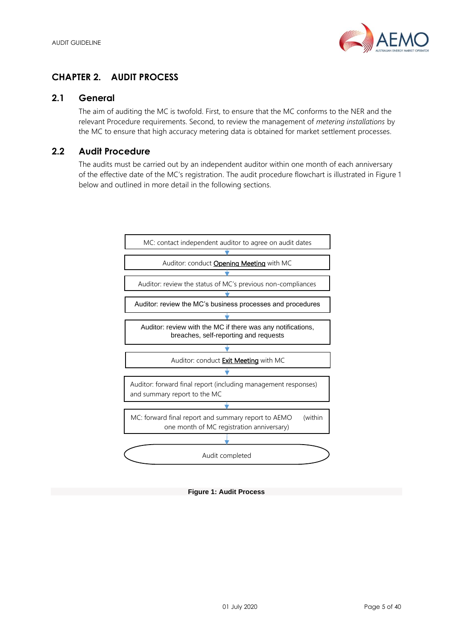

## <span id="page-4-0"></span>**CHAPTER 2. AUDIT PROCESS**

## <span id="page-4-1"></span>**2.1 General**

The aim of auditing the MC is twofold. First, to ensure that the MC conforms to the NER and the relevant Procedure requirements. Second, to review the management of *metering installations* by the MC to ensure that high accuracy metering data is obtained for market settlement processes.

## <span id="page-4-2"></span>**2.2 Audit Procedure**

The audits must be carried out by an independent auditor within one month of each anniversary of the effective date of the MC's registration. The audit procedure flowchart is illustrated in Figure 1 below and outlined in more detail in the following sections.



**Figure 1: Audit Process**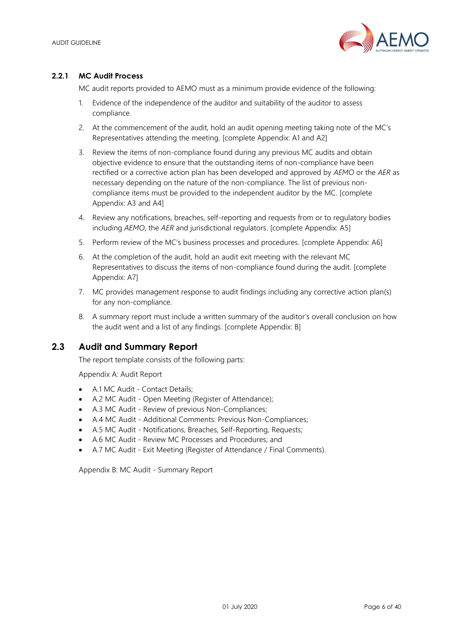

## **2.2.1 MC Audit Process**

MC audit reports provided to AEMO must as a minimum provide evidence of the following:

- 1. Evidence of the independence of the auditor and suitability of the auditor to assess compliance.
- 2. At the commencement of the audit, hold an audit opening meeting taking note of the MC's Representatives attending the meeting. [complete Appendix: A1 and A2]
- 3. Review the items of non-compliance found during any previous MC audits and obtain objective evidence to ensure that the outstanding items of non-compliance have been rectified or a corrective action plan has been developed and approved by *AEMO* or the *AER* as necessary depending on the nature of the non-compliance. The list of previous noncompliance items must be provided to the independent auditor by the MC. [complete Appendix: A3 and A4]
- 4. Review any notifications, breaches, self-reporting and requests from or to regulatory bodies including *AEMO*, the *AER* and jurisdictional regulators. [complete Appendix: A5]
- 5. Perform review of the MC's business processes and procedures. [complete Appendix: A6]
- 6. At the completion of the audit, hold an audit exit meeting with the relevant MC Representatives to discuss the items of non-compliance found during the audit. [complete Appendix: A7]
- 7. MC provides management response to audit findings including any corrective action plan(s) for any non-compliance.
- 8. A summary report must include a written summary of the auditor's overall conclusion on how the audit went and a list of any findings. [complete Appendix: B]

## <span id="page-5-0"></span>**2.3 Audit and Summary Report**

The report template consists of the following parts:

Appendix A: Audit Report

- A.1 MC Audit Contact Details;
- A.2 MC Audit Open Meeting (Register of Attendance);
- A.3 MC Audit Review of previous Non-Compliances;
- A.4 MC Audit Additional Comments: Previous Non-Compliances;
- A.5 MC Audit Notifications, Breaches, Self-Reporting, Requests;
- A.6 MC Audit Review MC Processes and Procedures; and
- A.7 MC Audit Exit Meeting (Register of Attendance / Final Comments).

Appendix B: MC Audit - Summary Report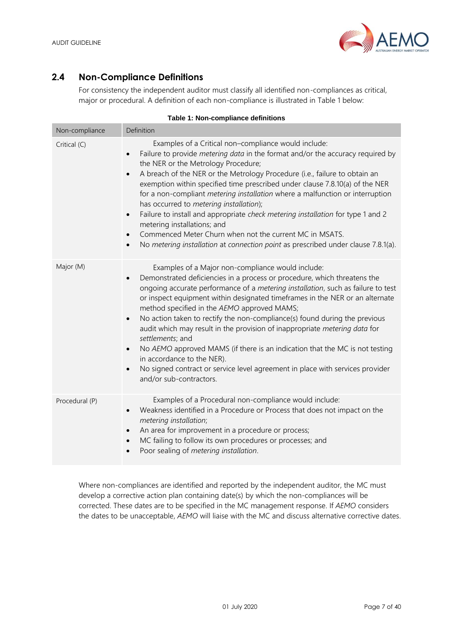

## <span id="page-6-0"></span>**2.4 Non-Compliance Definitions**

For consistency the independent auditor must classify all identified non-compliances as critical, major or procedural. A definition of each non-compliance is illustrated in [Table 1](#page-6-1) below:

<span id="page-6-1"></span>

| Non-compliance | Definition                                                                                                                                                                                                                                                                                                                                                                                                                                                                                                                                                                                                                                                                                                                                                                                                    |
|----------------|---------------------------------------------------------------------------------------------------------------------------------------------------------------------------------------------------------------------------------------------------------------------------------------------------------------------------------------------------------------------------------------------------------------------------------------------------------------------------------------------------------------------------------------------------------------------------------------------------------------------------------------------------------------------------------------------------------------------------------------------------------------------------------------------------------------|
| Critical (C)   | Examples of a Critical non-compliance would include:<br>Failure to provide metering data in the format and/or the accuracy required by<br>$\bullet$<br>the NER or the Metrology Procedure;<br>A breach of the NER or the Metrology Procedure (i.e., failure to obtain an<br>$\bullet$<br>exemption within specified time prescribed under clause 7.8.10(a) of the NER<br>for a non-compliant metering installation where a malfunction or interruption<br>has occurred to metering installation);<br>Failure to install and appropriate check metering installation for type 1 and 2<br>$\bullet$<br>metering installations; and<br>Commenced Meter Churn when not the current MC in MSATS.<br>$\bullet$<br>No metering installation at connection point as prescribed under clause 7.8.1(a).<br>$\bullet$    |
| Major (M)      | Examples of a Major non-compliance would include:<br>Demonstrated deficiencies in a process or procedure, which threatens the<br>$\bullet$<br>ongoing accurate performance of a metering installation, such as failure to test<br>or inspect equipment within designated timeframes in the NER or an alternate<br>method specified in the AEMO approved MAMS;<br>No action taken to rectify the non-compliance(s) found during the previous<br>$\bullet$<br>audit which may result in the provision of inappropriate metering data for<br>settlements; and<br>No AEMO approved MAMS (if there is an indication that the MC is not testing<br>$\bullet$<br>in accordance to the NER).<br>No signed contract or service level agreement in place with services provider<br>$\bullet$<br>and/or sub-contractors. |
| Procedural (P) | Examples of a Procedural non-compliance would include:<br>Weakness identified in a Procedure or Process that does not impact on the<br>$\bullet$<br>metering installation;<br>An area for improvement in a procedure or process;<br>$\bullet$<br>MC failing to follow its own procedures or processes; and<br>$\bullet$<br>Poor sealing of metering installation.<br>$\bullet$                                                                                                                                                                                                                                                                                                                                                                                                                                |

## **Table 1: Non-compliance definitions**

Where non-compliances are identified and reported by the independent auditor, the MC must develop a corrective action plan containing date(s) by which the non-compliances will be corrected. These dates are to be specified in the MC management response. If *AEMO* considers the dates to be unacceptable, *AEMO* will liaise with the MC and discuss alternative corrective dates.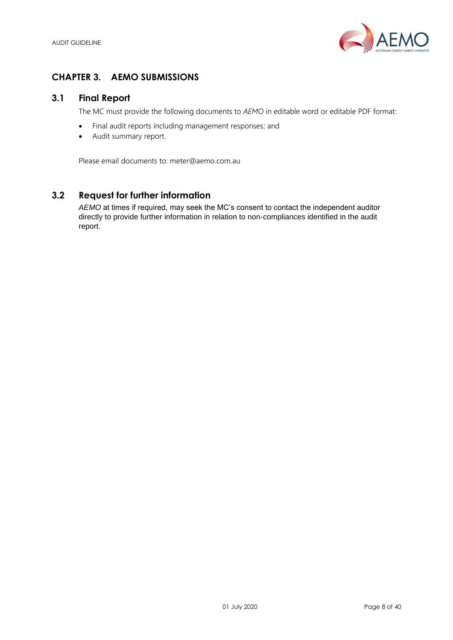

## <span id="page-7-0"></span>**CHAPTER 3. AEMO SUBMISSIONS**

## <span id="page-7-1"></span>**3.1 Final Report**

The MC must provide the following documents to *AEMO* in editable word or editable PDF format:

- Final audit reports including management responses; and
- Audit summary report.

Please email documents to: meter@aemo.com.au

## <span id="page-7-2"></span>**3.2 Request for further information**

*AEMO* at times if required, may seek the MC's consent to contact the independent auditor directly to provide further information in relation to non-compliances identified in the audit report.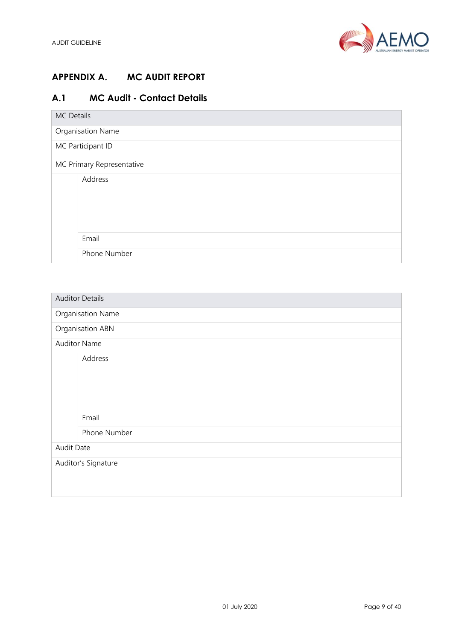

# <span id="page-8-0"></span>**APPENDIX A. MC AUDIT REPORT**

# <span id="page-8-1"></span>**A.1 MC Audit - Contact Details**

| MC Details                |  |
|---------------------------|--|
| Organisation Name         |  |
| MC Participant ID         |  |
| MC Primary Representative |  |
| Address                   |  |
| Email                     |  |
| Phone Number              |  |

|            | <b>Auditor Details</b> |  |
|------------|------------------------|--|
|            | Organisation Name      |  |
|            | Organisation ABN       |  |
|            | <b>Auditor Name</b>    |  |
|            | Address                |  |
|            |                        |  |
|            |                        |  |
|            |                        |  |
|            |                        |  |
|            | Email                  |  |
|            | Phone Number           |  |
| Audit Date |                        |  |
|            | Auditor's Signature    |  |
|            |                        |  |
|            |                        |  |
|            |                        |  |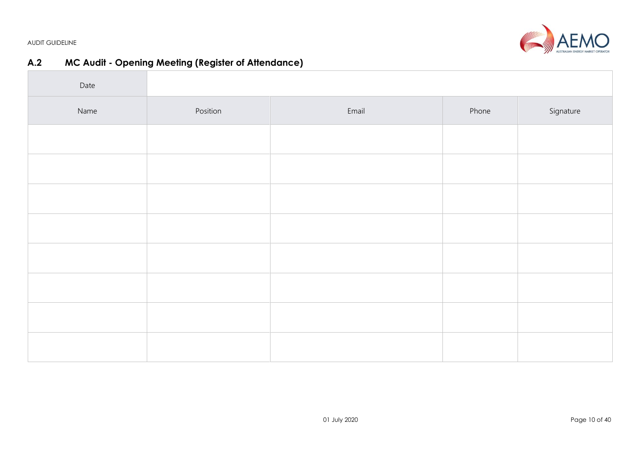AFMO AUSTRALIAN ENERGY MARKET OPERATO

AUDIT GUIDELINE

# **A.2 MC Audit - Opening Meeting (Register of Attendance)**

<span id="page-9-0"></span>

| Date |          |       |       |           |
|------|----------|-------|-------|-----------|
| Name | Position | Email | Phone | Signature |
|      |          |       |       |           |
|      |          |       |       |           |
|      |          |       |       |           |
|      |          |       |       |           |
|      |          |       |       |           |
|      |          |       |       |           |
|      |          |       |       |           |
|      |          |       |       |           |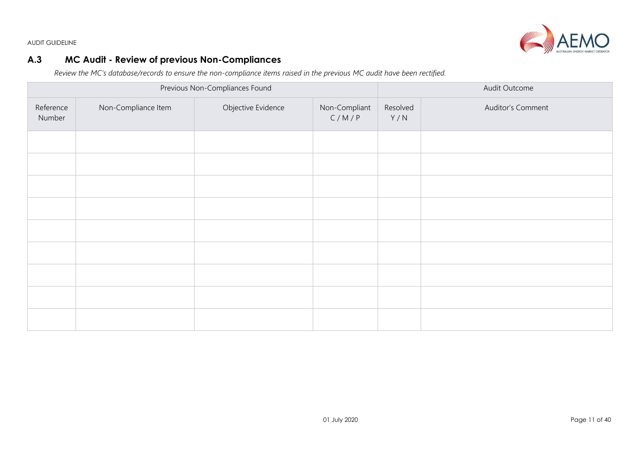**VIO** 

AUDIT GUIDELINE

## **A.3 MC Audit - Review of previous Non-Compliances**

*Review the MC's database/records to ensure the non-compliance items raised in the previous MC audit have been rectified.* 

<span id="page-10-0"></span>

|                     |                     | Previous Non-Compliances Found      | Audit Outcome |                 |                   |  |
|---------------------|---------------------|-------------------------------------|---------------|-----------------|-------------------|--|
| Reference<br>Number | Non-Compliance Item | Objective Evidence<br>Non-Compliant |               | Resolved<br>Y/N | Auditor's Comment |  |
|                     |                     |                                     |               |                 |                   |  |
|                     |                     |                                     |               |                 |                   |  |
|                     |                     |                                     |               |                 |                   |  |
|                     |                     |                                     |               |                 |                   |  |
|                     |                     |                                     |               |                 |                   |  |
|                     |                     |                                     |               |                 |                   |  |
|                     |                     |                                     |               |                 |                   |  |
|                     |                     |                                     |               |                 |                   |  |
|                     |                     |                                     |               |                 |                   |  |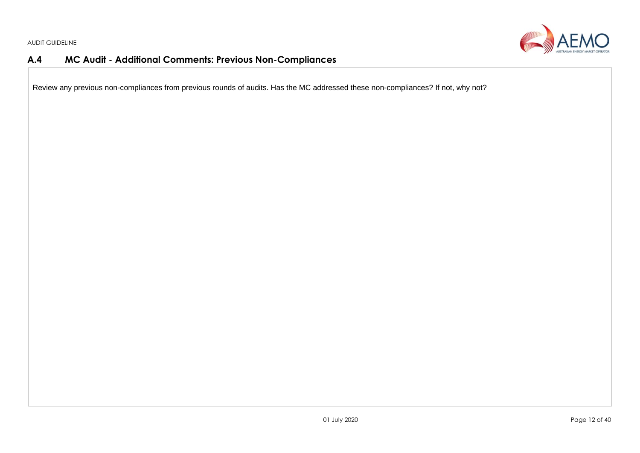

## **A.4 MC Audit - Additional Comments: Previous Non-Compliances**

<span id="page-11-0"></span>Review any previous non-compliances from previous rounds of audits. Has the MC addressed these non-compliances? If not, why not?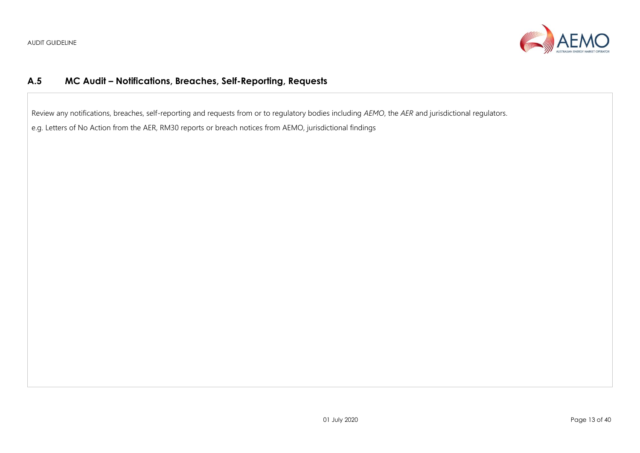

## **A.5 MC Audit – Notifications, Breaches, Self-Reporting, Requests**

Review any notifications, breaches, self-reporting and requests from or to regulatory bodies including *AEMO*, the *AER* and jurisdictional regulators.

<span id="page-12-0"></span>e.g. Letters of No Action from the AER, RM30 reports or breach notices from AEMO, jurisdictional findings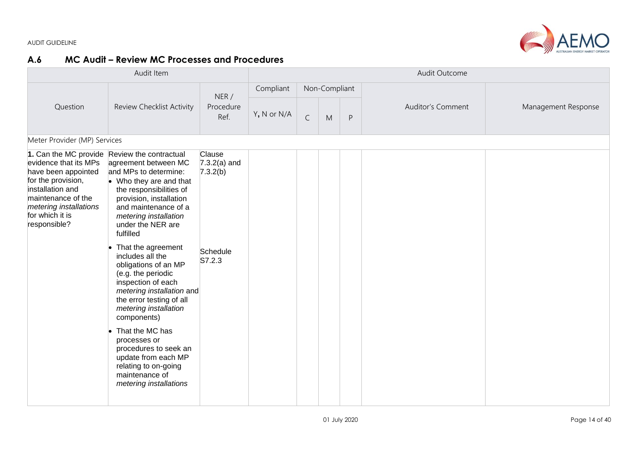

## **A.6 MC Audit – Review MC Processes and Procedures**

<span id="page-13-0"></span>

| Audit Item                                                                                                                                                                |                                                                                                                                                                                                                                                                                                                                                                                                                                                                                                                                                                                                                       |                                                            | Audit Outcome |             |               |   |                   |                     |  |  |  |  |
|---------------------------------------------------------------------------------------------------------------------------------------------------------------------------|-----------------------------------------------------------------------------------------------------------------------------------------------------------------------------------------------------------------------------------------------------------------------------------------------------------------------------------------------------------------------------------------------------------------------------------------------------------------------------------------------------------------------------------------------------------------------------------------------------------------------|------------------------------------------------------------|---------------|-------------|---------------|---|-------------------|---------------------|--|--|--|--|
|                                                                                                                                                                           | Review Checklist Activity                                                                                                                                                                                                                                                                                                                                                                                                                                                                                                                                                                                             | NER/<br>Procedure<br>Ref.                                  | Compliant     |             | Non-Compliant |   |                   | Management Response |  |  |  |  |
| Question                                                                                                                                                                  |                                                                                                                                                                                                                                                                                                                                                                                                                                                                                                                                                                                                                       |                                                            | Y, N or N/A   | $\mathsf C$ | M             | P | Auditor's Comment |                     |  |  |  |  |
|                                                                                                                                                                           | Meter Provider (MP) Services                                                                                                                                                                                                                                                                                                                                                                                                                                                                                                                                                                                          |                                                            |               |             |               |   |                   |                     |  |  |  |  |
| evidence that its MPs<br>have been appointed<br>for the provision,<br>installation and<br>maintenance of the<br>metering installations<br>for which it is<br>responsible? | 1. Can the MC provide Review the contractual<br>agreement between MC<br>and MPs to determine:<br>$\bullet$ Who they are and that<br>the responsibilities of<br>provision, installation<br>and maintenance of a<br>metering installation<br>under the NER are<br>fulfilled<br>That the agreement<br>includes all the<br>obligations of an MP<br>(e.g. the periodic<br>inspection of each<br>metering installation and<br>the error testing of all<br>metering installation<br>components)<br>That the MC has<br>processes or<br>procedures to seek an<br>update from each MP<br>relating to on-going<br>maintenance of | Clause<br>$7.3.2(a)$ and<br>7.3.2(b)<br>Schedule<br>S7.2.3 |               |             |               |   |                   |                     |  |  |  |  |
|                                                                                                                                                                           | metering installations                                                                                                                                                                                                                                                                                                                                                                                                                                                                                                                                                                                                |                                                            |               |             |               |   |                   |                     |  |  |  |  |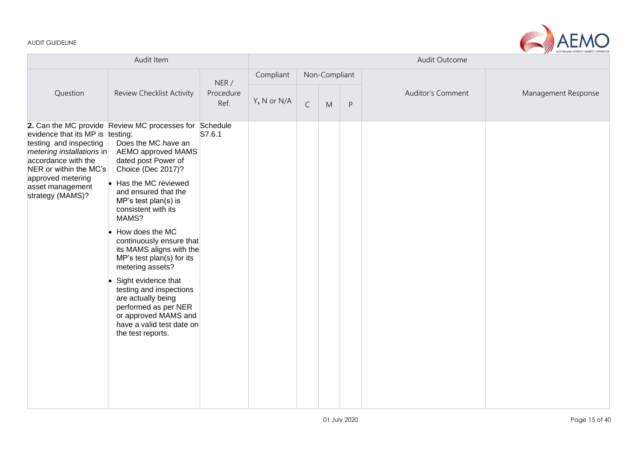

| Audit Item                                                                                                                                  |                                                                                                                                                                        |                           | Audit Outcome |             |               |         |                          |                     |
|---------------------------------------------------------------------------------------------------------------------------------------------|------------------------------------------------------------------------------------------------------------------------------------------------------------------------|---------------------------|---------------|-------------|---------------|---------|--------------------------|---------------------|
|                                                                                                                                             | Review Checklist Activity                                                                                                                                              |                           | Compliant     |             | Non-Compliant |         |                          |                     |
| Question                                                                                                                                    |                                                                                                                                                                        | NER/<br>Procedure<br>Ref. | Y, N or N/A   | $\mathsf C$ | M             | $\sf P$ | <b>Auditor's Comment</b> | Management Response |
| evidence that its MP is testing:<br>testing and inspecting<br>$m$ etering installations in<br>accordance with the<br>NER or within the MC's | 2. Can the MC provide Review MC processes for Schedule<br>Does the MC have an<br><b>AEMO approved MAMS</b><br>dated post Power of<br>Choice (Dec 2017)?                | S7.6.1                    |               |             |               |         |                          |                     |
| approved metering<br>asset management<br>strategy (MAMS)?                                                                                   | Has the MC reviewed<br>and ensured that the<br>MP's test plan(s) is<br>consistent with its<br>MAMS?                                                                    |                           |               |             |               |         |                          |                     |
|                                                                                                                                             | How does the MC<br>continuously ensure that<br>its MAMS aligns with the<br>MP's test plan(s) for its<br>metering assets?                                               |                           |               |             |               |         |                          |                     |
|                                                                                                                                             | Sight evidence that<br>testing and inspections<br>are actually being<br>performed as per NER<br>or approved MAMS and<br>have a valid test date on<br>the test reports. |                           |               |             |               |         |                          |                     |
|                                                                                                                                             |                                                                                                                                                                        |                           |               |             |               |         |                          |                     |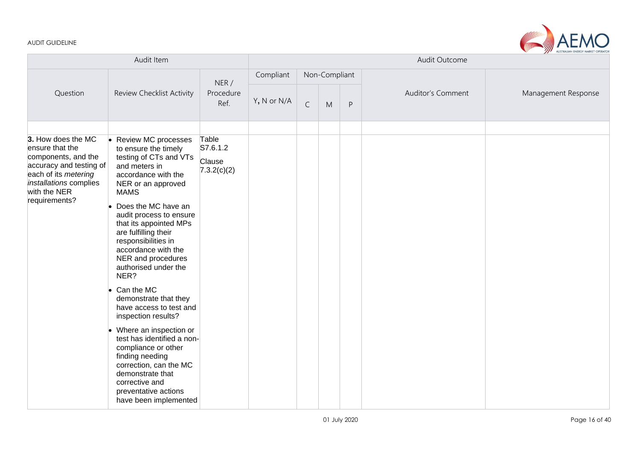

| Audit Item                                                                                                                          |                                                                                                                                                                                                                 |                                   | Audit Outcome |             |               |           |                   |                     |
|-------------------------------------------------------------------------------------------------------------------------------------|-----------------------------------------------------------------------------------------------------------------------------------------------------------------------------------------------------------------|-----------------------------------|---------------|-------------|---------------|-----------|-------------------|---------------------|
|                                                                                                                                     | Review Checklist Activity                                                                                                                                                                                       |                                   | Compliant     |             | Non-Compliant |           |                   |                     |
| Question                                                                                                                            |                                                                                                                                                                                                                 | NER /<br>Procedure<br>Ref.        | Y, N or N/A   | $\mathsf C$ | M             | ${\sf P}$ | Auditor's Comment | Management Response |
| 3. How does the MC                                                                                                                  | <b>Review MC processes</b>                                                                                                                                                                                      | Table                             |               |             |               |           |                   |                     |
| ensure that the<br>components, and the<br>accuracy and testing of<br>each of its metering<br>installations complies<br>with the NER | to ensure the timely<br>testing of CTs and VTs<br>and meters in<br>accordance with the<br>NER or an approved<br><b>MAMS</b>                                                                                     | S7.6.1.2<br>Clause<br>7.3.2(c)(2) |               |             |               |           |                   |                     |
| requirements?                                                                                                                       | Does the MC have an<br>audit process to ensure<br>that its appointed MPs<br>are fulfilling their<br>responsibilities in<br>accordance with the<br>NER and procedures<br>authorised under the<br>NER?            |                                   |               |             |               |           |                   |                     |
|                                                                                                                                     | Can the MC<br>demonstrate that they<br>have access to test and<br>inspection results?                                                                                                                           |                                   |               |             |               |           |                   |                     |
|                                                                                                                                     | Where an inspection or<br>test has identified a non-<br>compliance or other<br>finding needing<br>correction, can the MC<br>demonstrate that<br>corrective and<br>preventative actions<br>have been implemented |                                   |               |             |               |           |                   |                     |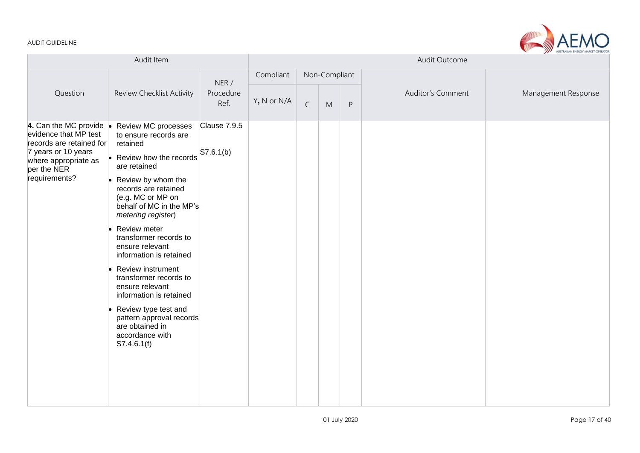

| Audit Item                                                                                                                                                          |                                                                                                                                                                                                                                                                                                                                                                                                                                                                                                                                  |                            | Audit Outcome |             |               |         |                   |                     |
|---------------------------------------------------------------------------------------------------------------------------------------------------------------------|----------------------------------------------------------------------------------------------------------------------------------------------------------------------------------------------------------------------------------------------------------------------------------------------------------------------------------------------------------------------------------------------------------------------------------------------------------------------------------------------------------------------------------|----------------------------|---------------|-------------|---------------|---------|-------------------|---------------------|
|                                                                                                                                                                     | Review Checklist Activity                                                                                                                                                                                                                                                                                                                                                                                                                                                                                                        |                            | Compliant     |             | Non-Compliant |         |                   |                     |
| Question                                                                                                                                                            |                                                                                                                                                                                                                                                                                                                                                                                                                                                                                                                                  | NER /<br>Procedure<br>Ref. | Y, N or N/A   | $\mathsf C$ | ${\sf M}$     | $\sf P$ | Auditor's Comment | Management Response |
| 4. Can the MC provide $\bullet$<br>evidence that MP test<br>records are retained for<br>7 years or 10 years<br>where appropriate as<br>per the NER<br>requirements? | <b>Review MC processes</b><br>to ensure records are<br>retained<br>• Review how the records<br>are retained<br>• Review by whom the<br>records are retained<br>(e.g. MC or MP on<br>behalf of MC in the MP's<br>metering register)<br>Review meter<br>transformer records to<br>ensure relevant<br>information is retained<br>Review instrument<br>transformer records to<br>ensure relevant<br>information is retained<br>Review type test and<br>pattern approval records<br>are obtained in<br>accordance with<br>S7.4.6.1(f) | Clause 7.9.5<br>S7.6.1(b)  |               |             |               |         |                   |                     |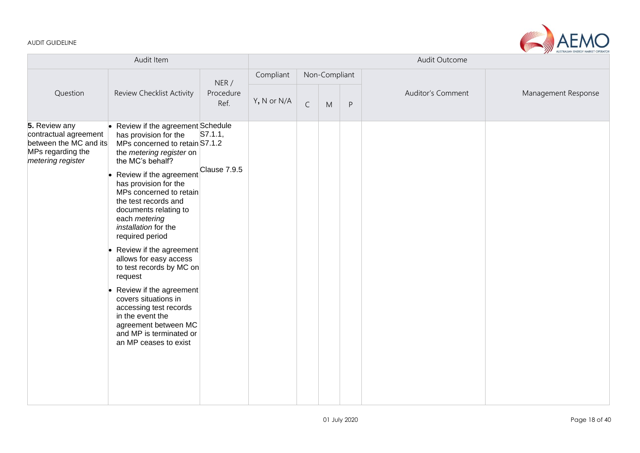

|                                                                                                            | Audit Item                                                                                                                                                                                                                                                                                                                                                                                                                                                                                                                                                                                                                      |                           | Audit Outcome |              |               |         |                   |                     |
|------------------------------------------------------------------------------------------------------------|---------------------------------------------------------------------------------------------------------------------------------------------------------------------------------------------------------------------------------------------------------------------------------------------------------------------------------------------------------------------------------------------------------------------------------------------------------------------------------------------------------------------------------------------------------------------------------------------------------------------------------|---------------------------|---------------|--------------|---------------|---------|-------------------|---------------------|
|                                                                                                            |                                                                                                                                                                                                                                                                                                                                                                                                                                                                                                                                                                                                                                 |                           | Compliant     |              | Non-Compliant |         |                   |                     |
| Question                                                                                                   | Review Checklist Activity                                                                                                                                                                                                                                                                                                                                                                                                                                                                                                                                                                                                       | NER/<br>Procedure<br>Ref. | Y, N or N/A   | $\mathsf{C}$ | M             | $\sf P$ | Auditor's Comment | Management Response |
| 5. Review any<br>contractual agreement<br>between the MC and its<br>MPs regarding the<br>metering register | • Review if the agreement Schedule<br>has provision for the<br>MPs concerned to retain S7.1.2<br>the metering register on<br>the MC's behalf?<br>Review if the agreement<br>has provision for the<br>MPs concerned to retain<br>the test records and<br>documents relating to<br>each metering<br>installation for the<br>required period<br>Review if the agreement<br>allows for easy access<br>to test records by MC on<br>request<br>Review if the agreement<br>$\bullet$<br>covers situations in<br>accessing test records<br>in the event the<br>agreement between MC<br>and MP is terminated or<br>an MP ceases to exist | S7.1.1,<br>Clause 7.9.5   |               |              |               |         |                   |                     |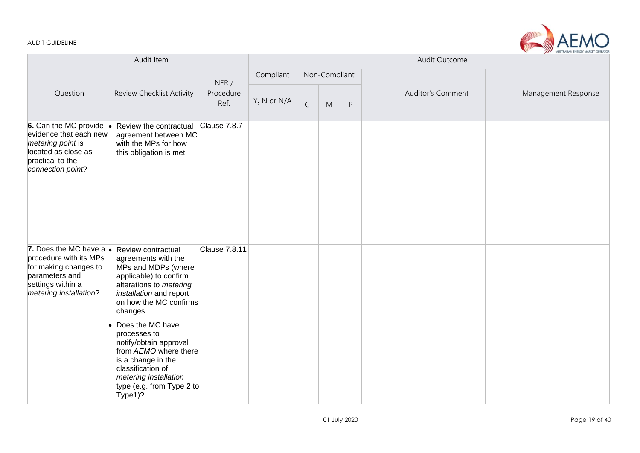

|                                                                                                                                                     | Audit Item                                                                                                                                                                                                                                                                                                              |                           |             |             |               |         | Audit Outcome            |                     |
|-----------------------------------------------------------------------------------------------------------------------------------------------------|-------------------------------------------------------------------------------------------------------------------------------------------------------------------------------------------------------------------------------------------------------------------------------------------------------------------------|---------------------------|-------------|-------------|---------------|---------|--------------------------|---------------------|
|                                                                                                                                                     |                                                                                                                                                                                                                                                                                                                         |                           | Compliant   |             | Non-Compliant |         |                          | Management Response |
| Question                                                                                                                                            | Review Checklist Activity                                                                                                                                                                                                                                                                                               | NER/<br>Procedure<br>Ref. | Y, N or N/A | $\mathsf C$ | M             | $\sf P$ | <b>Auditor's Comment</b> |                     |
| 6. Can the MC provide $\bullet$<br>evidence that each new<br>metering point is<br>located as close as<br>practical to the<br>connection point?      | Review the contractual<br>agreement between MC<br>with the MPs for how<br>this obligation is met                                                                                                                                                                                                                        | Clause 7.8.7              |             |             |               |         |                          |                     |
| 7. Does the MC have a $\bullet$<br>procedure with its MPs<br>for making changes to<br>parameters and<br>settings within a<br>metering installation? | Review contractual<br>agreements with the<br>MPs and MDPs (where<br>applicable) to confirm<br>alterations to metering<br>installation and report<br>on how the MC confirms<br>changes<br>Does the MC have<br>processes to<br>notify/obtain approval<br>from AEMO where there<br>is a change in the<br>classification of | <b>Clause 7.8.11</b>      |             |             |               |         |                          |                     |
|                                                                                                                                                     | metering installation<br>type (e.g. from Type 2 to<br>Type1)?                                                                                                                                                                                                                                                           |                           |             |             |               |         |                          |                     |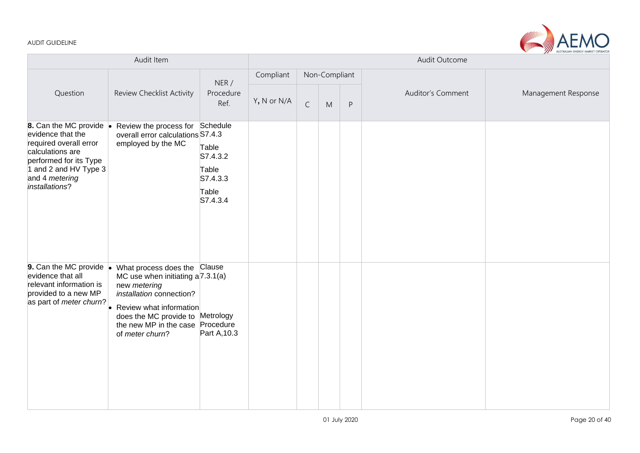

|                                                                                                                                                                                   |                                                                                                                                                                                                                           | Audit Outcome<br>Compliant<br>Non-Compliant<br>Auditor's Comment<br>Management Response |             |             |   |         |  |  |
|-----------------------------------------------------------------------------------------------------------------------------------------------------------------------------------|---------------------------------------------------------------------------------------------------------------------------------------------------------------------------------------------------------------------------|-----------------------------------------------------------------------------------------|-------------|-------------|---|---------|--|--|
|                                                                                                                                                                                   |                                                                                                                                                                                                                           |                                                                                         |             |             |   |         |  |  |
| Question                                                                                                                                                                          | Review Checklist Activity                                                                                                                                                                                                 | NER/<br>Procedure<br>Ref.                                                               | Y, N or N/A | $\mathsf C$ | M | $\sf P$ |  |  |
| 8. Can the MC provide .<br>evidence that the<br>required overall error<br>calculations are<br>performed for its Type<br>1 and 2 and HV Type 3<br>and 4 metering<br>installations? | Review the process for<br>overall error calculations S7.4.3<br>employed by the MC                                                                                                                                         | Schedule<br>Table<br>S7.4.3.2<br>Table<br>S7.4.3.3<br>Table<br>S7.4.3.4                 |             |             |   |         |  |  |
| <b>9.</b> Can the MC provide $\bullet$<br>evidence that all<br>relevant information is<br>provided to a new MP<br>as part of meter churn?                                         | What process does the Clause<br>MC use when initiating a 7.3.1(a)<br>new metering<br>installation connection?<br>Review what information<br>does the MC provide to Metrology<br>the new MP in the case<br>of meter churn? | Procedure<br>Part A, 10.3                                                               |             |             |   |         |  |  |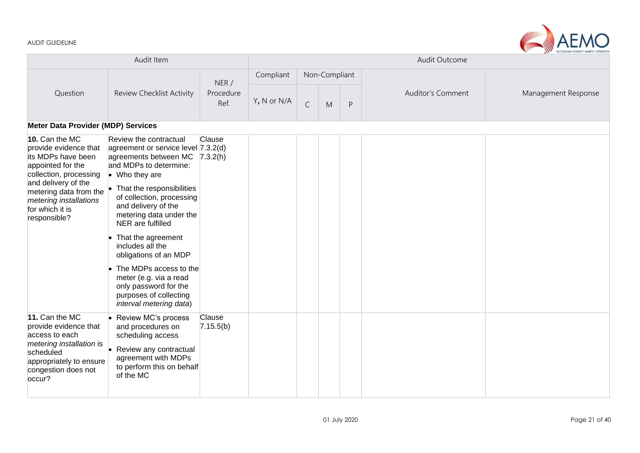$\sim$ 

|                                                                                                                                                                                                                            | Audit Item                                                                                                                                                                                                                                                                                                                                                                                                                                                                        |                     | Audit Outcome |             |               |         |                          |                     |  |  |  |
|----------------------------------------------------------------------------------------------------------------------------------------------------------------------------------------------------------------------------|-----------------------------------------------------------------------------------------------------------------------------------------------------------------------------------------------------------------------------------------------------------------------------------------------------------------------------------------------------------------------------------------------------------------------------------------------------------------------------------|---------------------|---------------|-------------|---------------|---------|--------------------------|---------------------|--|--|--|
|                                                                                                                                                                                                                            |                                                                                                                                                                                                                                                                                                                                                                                                                                                                                   | NER/                | Compliant     |             | Non-Compliant |         |                          |                     |  |  |  |
| Question                                                                                                                                                                                                                   | <b>Review Checklist Activity</b>                                                                                                                                                                                                                                                                                                                                                                                                                                                  | Procedure<br>Ref.   | Y, N or N/A   | $\mathsf C$ | M             | $\sf P$ | <b>Auditor's Comment</b> | Management Response |  |  |  |
| <b>Meter Data Provider (MDP) Services</b>                                                                                                                                                                                  |                                                                                                                                                                                                                                                                                                                                                                                                                                                                                   |                     |               |             |               |         |                          |                     |  |  |  |
| 10. Can the MC<br>provide evidence that<br>its MDPs have been<br>appointed for the<br>collection, processing<br>and delivery of the<br>metering data from the<br>metering installations<br>for which it is<br>responsible? | Review the contractual<br>agreement or service level [7.3.2(d)<br>agreements between MC<br>and MDPs to determine:<br>$\bullet$ Who they are<br>That the responsibilities<br>of collection, processing<br>and delivery of the<br>metering data under the<br>NER are fulfilled<br>That the agreement<br>includes all the<br>obligations of an MDP<br>The MDPs access to the<br>meter (e.g. via a read<br>only password for the<br>purposes of collecting<br>interval metering data) | Clause<br>7.3.2(h)  |               |             |               |         |                          |                     |  |  |  |
| 11. Can the MC<br>provide evidence that<br>access to each<br>metering installation is<br>scheduled<br>appropriately to ensure<br>congestion does not<br>occur?                                                             | Review MC's process<br>and procedures on<br>scheduling access<br>Review any contractual<br>agreement with MDPs<br>to perform this on behalf<br>of the MC                                                                                                                                                                                                                                                                                                                          | Clause<br>7.15.5(b) |               |             |               |         |                          |                     |  |  |  |

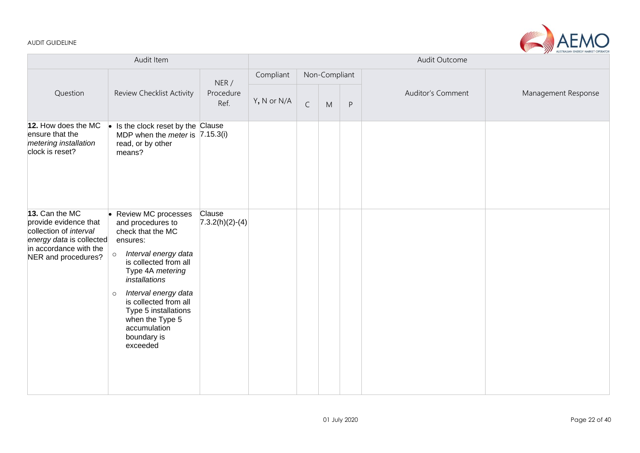

| Audit Item                                                                                                                                     |                                                                                                                                                                                                                                                                                                                                     |                             |             | Audit Outcome<br>Non-Compliant<br>Auditor's Comment<br>Management Response<br>$\mathsf C$<br>M<br>$\mathsf{P}$ |  |  |  |  |  |  |
|------------------------------------------------------------------------------------------------------------------------------------------------|-------------------------------------------------------------------------------------------------------------------------------------------------------------------------------------------------------------------------------------------------------------------------------------------------------------------------------------|-----------------------------|-------------|----------------------------------------------------------------------------------------------------------------|--|--|--|--|--|--|
|                                                                                                                                                |                                                                                                                                                                                                                                                                                                                                     |                             | Compliant   |                                                                                                                |  |  |  |  |  |  |
| Question                                                                                                                                       | Review Checklist Activity                                                                                                                                                                                                                                                                                                           | NER/<br>Procedure<br>Ref.   | Y, N or N/A |                                                                                                                |  |  |  |  |  |  |
| 12. How does the MC<br>ensure that the<br>metering installation<br>clock is reset?                                                             | $\bullet$ Is the clock reset by the Clause<br>MDP when the <i>meter</i> is $(7.15.3(i))$<br>read, or by other<br>means?                                                                                                                                                                                                             |                             |             |                                                                                                                |  |  |  |  |  |  |
| 13. Can the MC<br>provide evidence that<br>collection of interval<br>energy data is collected<br>in accordance with the<br>NER and procedures? | <b>Review MC processes</b><br>and procedures to<br>check that the MC<br>ensures:<br>Interval energy data<br>$\circ$<br>is collected from all<br>Type 4A metering<br>installations<br>Interval energy data<br>$\circ$<br>is collected from all<br>Type 5 installations<br>when the Type 5<br>accumulation<br>boundary is<br>exceeded | Clause<br>$7.3.2(h)(2)-(4)$ |             |                                                                                                                |  |  |  |  |  |  |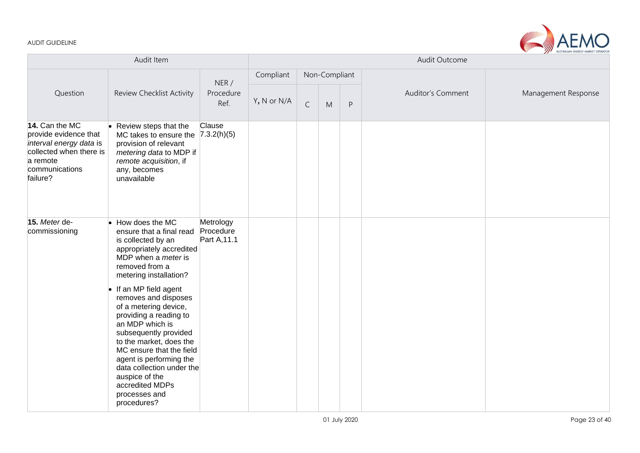

|                                                                                                                                         |                                                                                                                                                                                                                                                                                                                                 |                                        |             |                               | Audit Outcome | Management Response |  |  |  |  |
|-----------------------------------------------------------------------------------------------------------------------------------------|---------------------------------------------------------------------------------------------------------------------------------------------------------------------------------------------------------------------------------------------------------------------------------------------------------------------------------|----------------------------------------|-------------|-------------------------------|---------------|---------------------|--|--|--|--|
|                                                                                                                                         |                                                                                                                                                                                                                                                                                                                                 | NER/                                   | Compliant   |                               | Non-Compliant |                     |  |  |  |  |
| Question                                                                                                                                | Review Checklist Activity                                                                                                                                                                                                                                                                                                       |                                        | Y, N or N/A | $\mathsf C$<br>${\sf P}$<br>M |               | Auditor's Comment   |  |  |  |  |
| 14. Can the MC<br>provide evidence that<br>interval energy data is<br>collected when there is<br>a remote<br>communications<br>failure? | Review steps that the<br>MC takes to ensure the $(7.3.2(h)(5))$<br>provision of relevant<br>metering data to MDP if<br>remote acquisition, if<br>any, becomes<br>unavailable                                                                                                                                                    | Clause                                 |             |                               |               |                     |  |  |  |  |
| 15. Meter de-<br>commissioning                                                                                                          | How does the MC<br>I.<br>ensure that a final read<br>is collected by an<br>appropriately accredited<br>MDP when a <i>meter</i> is<br>removed from a<br>metering installation?                                                                                                                                                   | Metrology<br>Procedure<br>Part A, 11.1 |             |                               |               |                     |  |  |  |  |
|                                                                                                                                         | If an MP field agent<br>removes and disposes<br>of a metering device,<br>providing a reading to<br>an MDP which is<br>subsequently provided<br>to the market, does the<br>MC ensure that the field<br>agent is performing the<br>data collection under the<br>auspice of the<br>accredited MDPs<br>processes and<br>procedures? |                                        |             |                               |               |                     |  |  |  |  |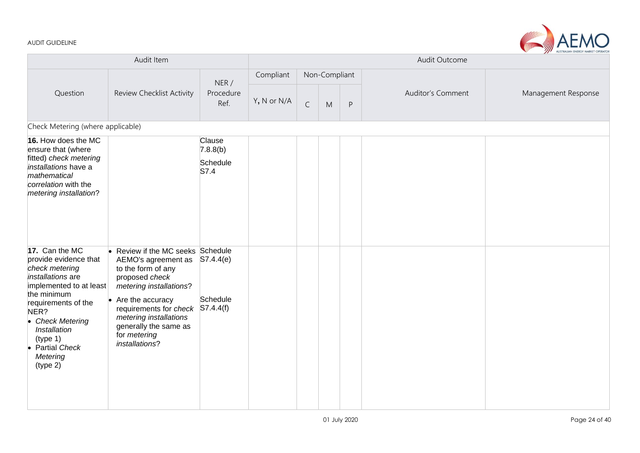

|                                                                                                                                                                                                                                                    | Audit Item                                                                                                                                                                                                                                                               |                                        |             |             | Audit Outcome |         |                   |                     |  |  |  |  |  |
|----------------------------------------------------------------------------------------------------------------------------------------------------------------------------------------------------------------------------------------------------|--------------------------------------------------------------------------------------------------------------------------------------------------------------------------------------------------------------------------------------------------------------------------|----------------------------------------|-------------|-------------|---------------|---------|-------------------|---------------------|--|--|--|--|--|
|                                                                                                                                                                                                                                                    |                                                                                                                                                                                                                                                                          |                                        | Compliant   |             | Non-Compliant |         |                   |                     |  |  |  |  |  |
| Question                                                                                                                                                                                                                                           | Review Checklist Activity                                                                                                                                                                                                                                                | NER/<br>Procedure<br>Ref.              | Y, N or N/A | $\mathsf C$ | M             | $\sf P$ | Auditor's Comment | Management Response |  |  |  |  |  |
| Check Metering (where applicable)                                                                                                                                                                                                                  |                                                                                                                                                                                                                                                                          |                                        |             |             |               |         |                   |                     |  |  |  |  |  |
| 16. How does the MC<br>ensure that (where<br>fitted) check metering<br>installations have a<br>mathematical<br>correlation with the<br>metering installation?                                                                                      |                                                                                                                                                                                                                                                                          | Clause<br>7.8.8(b)<br>Schedule<br>S7.4 |             |             |               |         |                   |                     |  |  |  |  |  |
| 17. Can the MC<br>provide evidence that<br>check metering<br>installations are<br>implemented to at least<br>the minimum<br>requirements of the<br>NER?<br>• Check Metering<br>Installation<br>(type 1)<br>• Partial Check<br>Metering<br>(type 2) | • Review if the MC seeks Schedule<br>AEMO's agreement as<br>to the form of any<br>proposed check<br>metering installations?<br>$\bullet$ Are the accuracy<br>requirements for check<br>metering installations<br>generally the same as<br>for metering<br>installations? | S7.4.4(e) <br>Schedule<br>S7.4.4(f)    |             |             |               |         |                   |                     |  |  |  |  |  |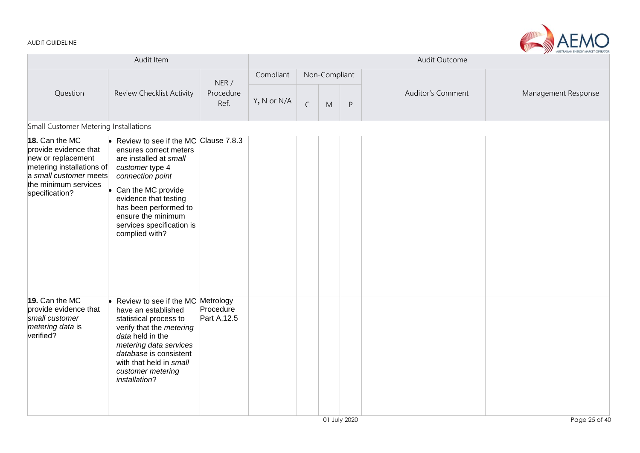

|                                                                                                                                                                |                                                                                                                                                                                                                                                                                           |                           |             |             | Audit Outcome | AUSTRALIAN ENERGY MARKET OPERATOR |                          |                     |
|----------------------------------------------------------------------------------------------------------------------------------------------------------------|-------------------------------------------------------------------------------------------------------------------------------------------------------------------------------------------------------------------------------------------------------------------------------------------|---------------------------|-------------|-------------|---------------|-----------------------------------|--------------------------|---------------------|
|                                                                                                                                                                |                                                                                                                                                                                                                                                                                           | NER/                      | Compliant   |             | Non-Compliant |                                   |                          |                     |
| Question                                                                                                                                                       | Review Checklist Activity                                                                                                                                                                                                                                                                 | Procedure<br>Ref.         | Y, N or N/A | $\mathsf C$ | M             | $\sf P$                           | <b>Auditor's Comment</b> | Management Response |
| Small Customer Metering Installations                                                                                                                          |                                                                                                                                                                                                                                                                                           |                           |             |             |               |                                   |                          |                     |
| 18. Can the MC<br>provide evidence that<br>new or replacement<br>metering installations of<br>a small customer meets<br>the minimum services<br>specification? | Review to see if the MC Clause 7.8.3<br>ensures correct meters<br>are installed at small<br>customer type 4<br>connection point<br>Can the MC provide<br>$\bullet$<br>evidence that testing<br>has been performed to<br>ensure the minimum<br>services specification is<br>complied with? |                           |             |             |               |                                   |                          |                     |
| 19. Can the MC<br>provide evidence that<br>small customer<br>metering data is<br>verified?                                                                     | • Review to see if the MC Metrology<br>have an established<br>statistical process to<br>verify that the metering<br>data held in the<br>metering data services<br>database is consistent<br>with that held in small<br>customer metering<br>installation?                                 | Procedure<br>Part A, 12.5 |             |             |               |                                   |                          |                     |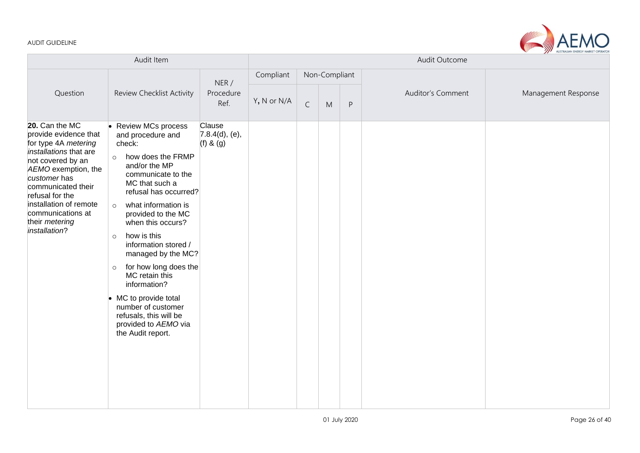

|                                                                                                                                                                                                                                                                                  | Audit Item                                                                                                                                                                                                                                                                                                                                                                                                                                                                                                                  |                                           | Audit Outcome |             |               |              |                   |                     |
|----------------------------------------------------------------------------------------------------------------------------------------------------------------------------------------------------------------------------------------------------------------------------------|-----------------------------------------------------------------------------------------------------------------------------------------------------------------------------------------------------------------------------------------------------------------------------------------------------------------------------------------------------------------------------------------------------------------------------------------------------------------------------------------------------------------------------|-------------------------------------------|---------------|-------------|---------------|--------------|-------------------|---------------------|
|                                                                                                                                                                                                                                                                                  |                                                                                                                                                                                                                                                                                                                                                                                                                                                                                                                             |                                           | Compliant     |             | Non-Compliant |              |                   |                     |
| Question                                                                                                                                                                                                                                                                         | <b>Review Checklist Activity</b>                                                                                                                                                                                                                                                                                                                                                                                                                                                                                            | NER/<br>Procedure<br>Ref.                 | Y, N or N/A   | $\mathsf C$ | M             | $\mathsf{P}$ | Auditor's Comment | Management Response |
| 20. Can the MC<br>provide evidence that<br>for type 4A metering<br>installations that are<br>not covered by an<br>AEMO exemption, the<br>customer has<br>communicated their<br>refusal for the<br>installation of remote<br>communications at<br>their metering<br>installation? | <b>Review MCs process</b><br>and procedure and<br>check:<br>how does the FRMP<br>$\circ$<br>and/or the MP<br>communicate to the<br>MC that such a<br>refusal has occurred?<br>what information is<br>$\circ$<br>provided to the MC<br>when this occurs?<br>how is this<br>$\circ$<br>information stored /<br>managed by the MC?<br>for how long does the<br>$\circ$<br>MC retain this<br>information?<br>• MC to provide total<br>number of customer<br>refusals, this will be<br>provided to AEMO via<br>the Audit report. | Clause<br>7.8.4(d), (e),<br>$(f)$ & $(g)$ |               |             |               |              |                   |                     |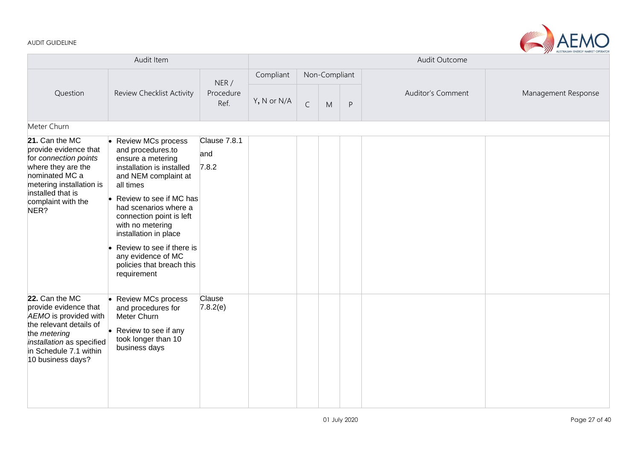|                                                                                                                                                                                         | Audit Item                                                                                                                                                                                                                                                                                                                                                   |                              |             |             |               |                                                | Audit Outcome     |                     |  |  |
|-----------------------------------------------------------------------------------------------------------------------------------------------------------------------------------------|--------------------------------------------------------------------------------------------------------------------------------------------------------------------------------------------------------------------------------------------------------------------------------------------------------------------------------------------------------------|------------------------------|-------------|-------------|---------------|------------------------------------------------|-------------------|---------------------|--|--|
|                                                                                                                                                                                         |                                                                                                                                                                                                                                                                                                                                                              | NER/                         | Compliant   |             | Non-Compliant |                                                |                   |                     |  |  |
| Question                                                                                                                                                                                | Review Checklist Activity                                                                                                                                                                                                                                                                                                                                    | Procedure<br>Ref.            | Y, N or N/A | $\mathsf C$ | M             | $\mathsf{P}% _{0}\left( \mathsf{P}_{0}\right)$ | Auditor's Comment | Management Response |  |  |
| Meter Churn                                                                                                                                                                             |                                                                                                                                                                                                                                                                                                                                                              |                              |             |             |               |                                                |                   |                     |  |  |
| 21. Can the MC<br>provide evidence that<br>for connection points<br>where they are the<br>nominated MC a<br>metering installation is<br>installed that is<br>complaint with the<br>NER? | • Review MCs process<br>and procedures.to<br>ensure a metering<br>installation is installed<br>and NEM complaint at<br>all times<br>Review to see if MC has<br>had scenarios where a<br>connection point is left<br>with no metering<br>installation in place<br>Review to see if there is<br>any evidence of MC<br>policies that breach this<br>requirement | Clause 7.8.1<br>and<br>7.8.2 |             |             |               |                                                |                   |                     |  |  |
| 22. Can the MC<br>provide evidence that<br>AEMO is provided with<br>the relevant details of<br>the metering<br>installation as specified<br>in Schedule 7.1 within<br>10 business days? | <b>Review MCs process</b><br>and procedures for<br>Meter Churn<br>Review to see if any<br>took longer than 10<br>business days                                                                                                                                                                                                                               | Clause<br>7.8.2(e)           |             |             |               |                                                |                   |                     |  |  |

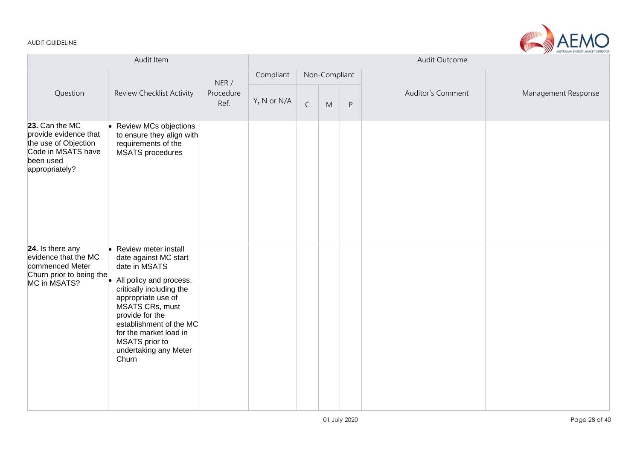

|                                                                                                                      | Audit Outcome                                                                                                                                                                                                                                                                                       |                           |             |             |               |         |                   |                     |
|----------------------------------------------------------------------------------------------------------------------|-----------------------------------------------------------------------------------------------------------------------------------------------------------------------------------------------------------------------------------------------------------------------------------------------------|---------------------------|-------------|-------------|---------------|---------|-------------------|---------------------|
|                                                                                                                      |                                                                                                                                                                                                                                                                                                     |                           | Compliant   |             | Non-Compliant |         |                   |                     |
| Question                                                                                                             | Review Checklist Activity                                                                                                                                                                                                                                                                           | NER/<br>Procedure<br>Ref. | Y, N or N/A | $\mathsf C$ | M             | $\sf P$ | Auditor's Comment | Management Response |
| 23. Can the MC<br>provide evidence that<br>the use of Objection<br>Code in MSATS have<br>been used<br>appropriately? | Review MCs objections<br>to ensure they align with<br>requirements of the<br><b>MSATS</b> procedures                                                                                                                                                                                                |                           |             |             |               |         |                   |                     |
| 24. Is there any<br>evidence that the MC<br>commenced Meter<br>Churn prior to being the<br>MC in MSATS?              | • Review meter install<br>date against MC start<br>date in MSATS<br>All policy and process,<br>critically including the<br>appropriate use of<br><b>MSATS CRs, must</b><br>provide for the<br>establishment of the MC<br>for the market load in<br>MSATS prior to<br>undertaking any Meter<br>Churn |                           |             |             |               |         |                   |                     |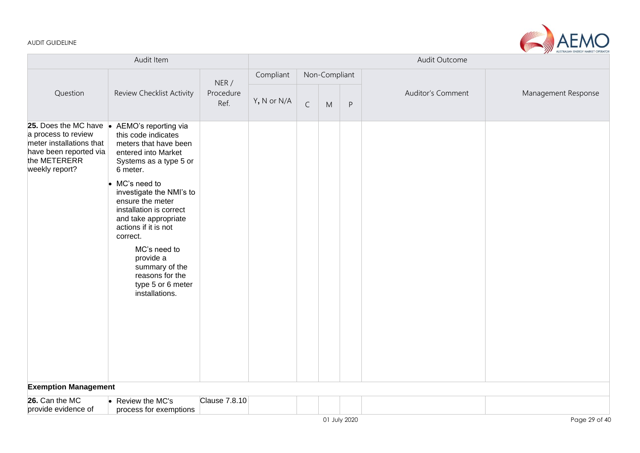

|                                                                                                                                       | Audit Item                                                                                                                                                                                                                                                                                                                                                                                        |                           |             |             |               |   | Audit Outcome            |                     |
|---------------------------------------------------------------------------------------------------------------------------------------|---------------------------------------------------------------------------------------------------------------------------------------------------------------------------------------------------------------------------------------------------------------------------------------------------------------------------------------------------------------------------------------------------|---------------------------|-------------|-------------|---------------|---|--------------------------|---------------------|
|                                                                                                                                       |                                                                                                                                                                                                                                                                                                                                                                                                   |                           | Compliant   |             | Non-Compliant |   |                          | Management Response |
| Question                                                                                                                              | Review Checklist Activity                                                                                                                                                                                                                                                                                                                                                                         | NER/<br>Procedure<br>Ref. | Y, N or N/A | $\mathsf C$ | M             | P | <b>Auditor's Comment</b> |                     |
| 25. Does the MC have .<br>a process to review<br>meter installations that<br>have been reported via<br>the METERERR<br>weekly report? | AEMO's reporting via<br>this code indicates<br>meters that have been<br>entered into Market<br>Systems as a type 5 or<br>6 meter.<br>MC's need to<br>investigate the NMI's to<br>ensure the meter<br>installation is correct<br>and take appropriate<br>actions if it is not<br>correct.<br>MC's need to<br>provide a<br>summary of the<br>reasons for the<br>type 5 or 6 meter<br>installations. |                           |             |             |               |   |                          |                     |
| <b>Exemption Management</b>                                                                                                           |                                                                                                                                                                                                                                                                                                                                                                                                   |                           |             |             |               |   |                          |                     |
|                                                                                                                                       |                                                                                                                                                                                                                                                                                                                                                                                                   |                           |             |             |               |   |                          |                     |
| 26. Can the MC<br>provide evidence of                                                                                                 | Review the MC's<br>process for exemptions                                                                                                                                                                                                                                                                                                                                                         | Clause 7.8.10             |             |             |               |   |                          |                     |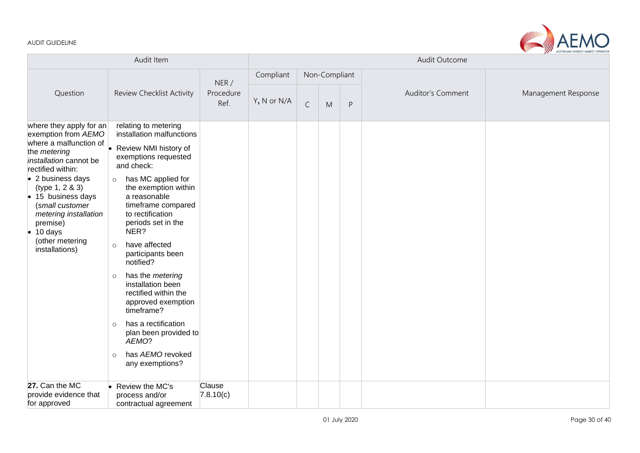

|                                                                                                                                                                                                                                                                                                                                 | Audit Item                                                                                                                                                                                                                                                                                                                                                                                                                                                                                                                                                            |                           | Audit Outcome |             |               |              |                          |                     |
|---------------------------------------------------------------------------------------------------------------------------------------------------------------------------------------------------------------------------------------------------------------------------------------------------------------------------------|-----------------------------------------------------------------------------------------------------------------------------------------------------------------------------------------------------------------------------------------------------------------------------------------------------------------------------------------------------------------------------------------------------------------------------------------------------------------------------------------------------------------------------------------------------------------------|---------------------------|---------------|-------------|---------------|--------------|--------------------------|---------------------|
|                                                                                                                                                                                                                                                                                                                                 |                                                                                                                                                                                                                                                                                                                                                                                                                                                                                                                                                                       |                           | Compliant     |             | Non-Compliant |              |                          |                     |
| Review Checklist Activity<br>Question                                                                                                                                                                                                                                                                                           |                                                                                                                                                                                                                                                                                                                                                                                                                                                                                                                                                                       | NER/<br>Procedure<br>Ref. | Y, N or N/A   | $\mathsf C$ | M             | $\mathsf{P}$ | <b>Auditor's Comment</b> | Management Response |
| where they apply for an<br>exemption from AEMO<br>where a malfunction of $\vert$<br>the metering<br>installation cannot be<br>rectified within:<br>• 2 business days<br>(type 1, 2 & 3)<br>• 15 business days<br>(small customer<br>metering installation<br>premise)<br>$\bullet$ 10 days<br>(other metering<br>installations) | relating to metering<br>installation malfunctions<br>Review NMI history of<br>exemptions requested<br>and check:<br>has MC applied for<br>$\circ$<br>the exemption within<br>a reasonable<br>timeframe compared<br>to rectification<br>periods set in the<br>NER?<br>have affected<br>$\circ$<br>participants been<br>notified?<br>has the metering<br>$\circ$<br>installation been<br>rectified within the<br>approved exemption<br>timeframe?<br>has a rectification<br>$\circ$<br>plan been provided to<br>AEMO?<br>has AEMO revoked<br>$\circ$<br>any exemptions? |                           |               |             |               |              |                          |                     |
| 27. Can the MC<br>provide evidence that<br>for approved                                                                                                                                                                                                                                                                         | • Review the MC's<br>process and/or<br>contractual agreement                                                                                                                                                                                                                                                                                                                                                                                                                                                                                                          | Clause<br>7.8.10(c)       |               |             |               |              |                          |                     |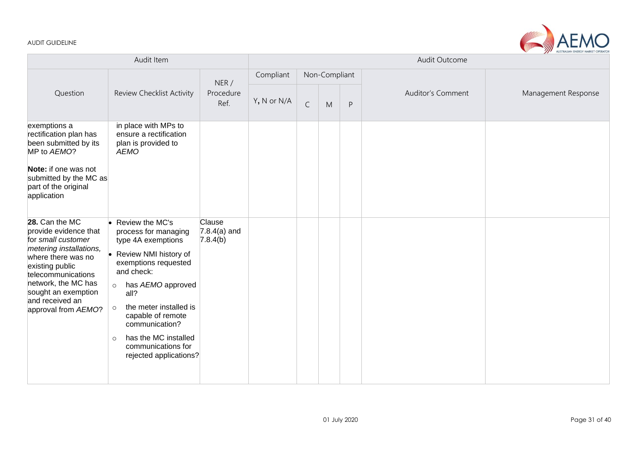

| Audit Item                                                                                                                                                                                                                                      |                                                                                                                                                                                                                                                                                                                                     |                                      | Audit Outcome |             |               |                                                |                   |                     |  |  |
|-------------------------------------------------------------------------------------------------------------------------------------------------------------------------------------------------------------------------------------------------|-------------------------------------------------------------------------------------------------------------------------------------------------------------------------------------------------------------------------------------------------------------------------------------------------------------------------------------|--------------------------------------|---------------|-------------|---------------|------------------------------------------------|-------------------|---------------------|--|--|
|                                                                                                                                                                                                                                                 |                                                                                                                                                                                                                                                                                                                                     | NER/                                 | Compliant     |             | Non-Compliant |                                                |                   |                     |  |  |
| Question                                                                                                                                                                                                                                        | Review Checklist Activity<br>Procedure<br>Ref.                                                                                                                                                                                                                                                                                      |                                      | Y, N or N/A   | $\mathsf C$ | M             | $\mathsf{P}% _{0}\left( \mathsf{P}_{0}\right)$ | Auditor's Comment | Management Response |  |  |
| exemptions a<br>rectification plan has<br>been submitted by its<br>MP to AEMO?<br>Note: if one was not<br>submitted by the MC as<br>part of the original<br>application                                                                         | in place with MPs to<br>ensure a rectification<br>plan is provided to<br><b>AEMO</b>                                                                                                                                                                                                                                                |                                      |               |             |               |                                                |                   |                     |  |  |
| 28. Can the MC<br>provide evidence that<br>for small customer<br>metering installations,<br>where there was no<br>existing public<br>telecommunications<br>network, the MC has<br>sought an exemption<br>and received an<br>approval from AEMO? | Review the MC's<br>process for managing<br>type 4A exemptions<br>Review NMI history of<br>exemptions requested<br>and check:<br>has AEMO approved<br>$\circ$<br>all?<br>the meter installed is<br>$\circ$<br>capable of remote<br>communication?<br>has the MC installed<br>$\circ$<br>communications for<br>rejected applications? | Clause<br>$7.8.4(a)$ and<br>7.8.4(b) |               |             |               |                                                |                   |                     |  |  |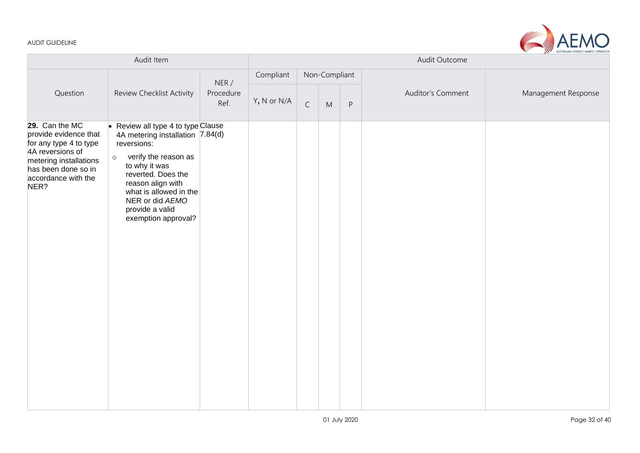

|                                                                                                                                                                       | Audit Outcome                                                                                                                                                                                                                                                                   |                            |             |             |               |         |                   |                     |
|-----------------------------------------------------------------------------------------------------------------------------------------------------------------------|---------------------------------------------------------------------------------------------------------------------------------------------------------------------------------------------------------------------------------------------------------------------------------|----------------------------|-------------|-------------|---------------|---------|-------------------|---------------------|
|                                                                                                                                                                       |                                                                                                                                                                                                                                                                                 |                            | Compliant   |             | Non-Compliant |         |                   |                     |
| Question                                                                                                                                                              | Review Checklist Activity                                                                                                                                                                                                                                                       | NER /<br>Procedure<br>Ref. | Y, N or N/A | $\mathsf C$ | M             | $\sf P$ | Auditor's Comment | Management Response |
| 29. Can the MC<br>provide evidence that<br>for any type 4 to type<br>4A reversions of<br>metering installations<br>has been done so in<br>accordance with the<br>NER? | Review all type 4 to type Clause<br>I.<br>4A metering installation 7.84(d)<br>reversions:<br>verify the reason as<br>$\circ$<br>to why it was<br>reverted. Does the<br>reason align with<br>what is allowed in the<br>NER or did AEMO<br>provide a valid<br>exemption approval? |                            |             |             |               |         |                   |                     |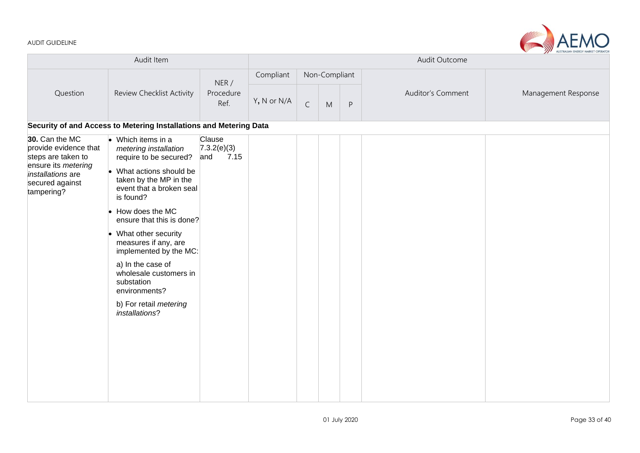

| Audit Item                                                                                                                                        |                                                                                                                                                                                                                                                                                                                                                                                                                                 |                                      | AUSTRALIAN ENERGY MARKET OPERATOR<br>Audit Outcome |               |   |         |                   |                     |  |  |
|---------------------------------------------------------------------------------------------------------------------------------------------------|---------------------------------------------------------------------------------------------------------------------------------------------------------------------------------------------------------------------------------------------------------------------------------------------------------------------------------------------------------------------------------------------------------------------------------|--------------------------------------|----------------------------------------------------|---------------|---|---------|-------------------|---------------------|--|--|
|                                                                                                                                                   | Review Checklist Activity                                                                                                                                                                                                                                                                                                                                                                                                       | NER /<br>Procedure<br>Ref.           | Compliant                                          | Non-Compliant |   |         |                   |                     |  |  |
| Question                                                                                                                                          |                                                                                                                                                                                                                                                                                                                                                                                                                                 |                                      | Y, N or N/A                                        | $\mathsf C$   | M | $\sf P$ | Auditor's Comment | Management Response |  |  |
|                                                                                                                                                   | Security of and Access to Metering Installations and Metering Data                                                                                                                                                                                                                                                                                                                                                              |                                      |                                                    |               |   |         |                   |                     |  |  |
| 30. Can the MC<br>provide evidence that<br>steps are taken to<br>ensure its <i>metering</i><br>installations are<br>secured against<br>tampering? | $\bullet$ Which items in a<br>metering installation<br>require to be secured?<br>• What actions should be<br>taken by the MP in the<br>event that a broken seal<br>is found?<br>How does the MC<br>ensure that this is done?<br>What other security<br>measures if any, are<br>implemented by the MC:<br>a) In the case of<br>wholesale customers in<br>substation<br>environments?<br>b) For retail metering<br>installations? | Clause<br>7.3.2(e)(3)<br>7.15<br>and |                                                    |               |   |         |                   |                     |  |  |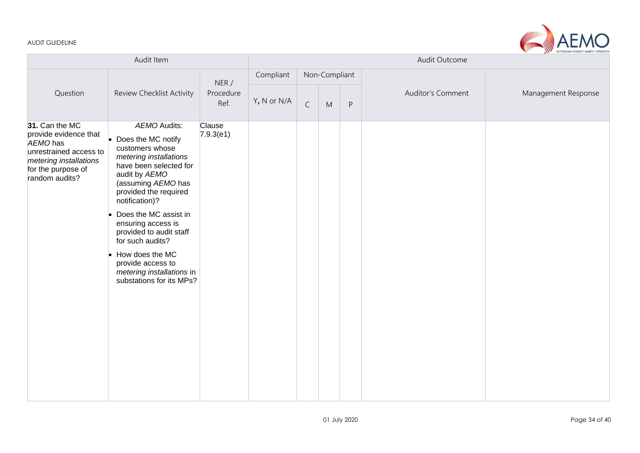

| Audit Item                                                                                                                                      |                                                                                                                                                                                                                                                                                                                                                                                            |                           | Audit Outcome |              |               |         |                   |                     |  |
|-------------------------------------------------------------------------------------------------------------------------------------------------|--------------------------------------------------------------------------------------------------------------------------------------------------------------------------------------------------------------------------------------------------------------------------------------------------------------------------------------------------------------------------------------------|---------------------------|---------------|--------------|---------------|---------|-------------------|---------------------|--|
|                                                                                                                                                 |                                                                                                                                                                                                                                                                                                                                                                                            |                           | Compliant     |              | Non-Compliant |         |                   |                     |  |
| Question                                                                                                                                        | Review Checklist Activity                                                                                                                                                                                                                                                                                                                                                                  | NER/<br>Procedure<br>Ref. | Y, N or N/A   | $\mathsf{C}$ | M             | $\sf P$ | Auditor's Comment | Management Response |  |
| 31. Can the MC<br>provide evidence that<br>AEMO has<br>unrestrained access to<br>metering installations<br>for the purpose of<br>random audits? | AEMO Audits:<br>Does the MC notify<br>customers whose<br>metering installations<br>have been selected for<br>audit by AEMO<br>(assuming AEMO has<br>provided the required<br>notification)?<br>Does the MC assist in<br>ensuring access is<br>provided to audit staff<br>for such audits?<br>How does the MC<br>provide access to<br>metering installations in<br>substations for its MPs? | Clause<br>7.9.3(e1)       |               |              |               |         |                   |                     |  |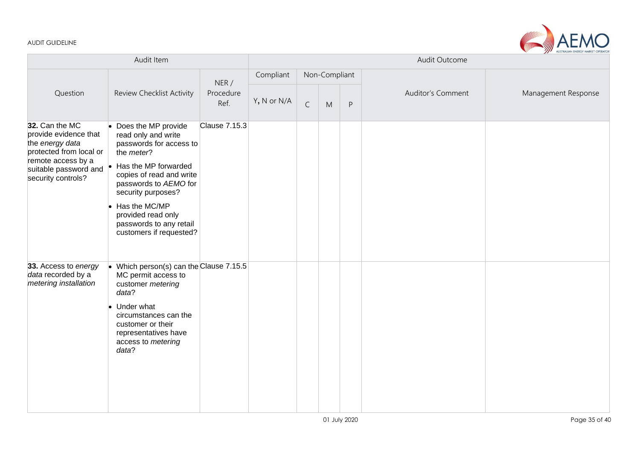

| Audit Item                                                                                                                                                 |                                                                                                                                                                                                                                                                                     |               | Audit Outcome |              |               |              |                          |                     |  |  |
|------------------------------------------------------------------------------------------------------------------------------------------------------------|-------------------------------------------------------------------------------------------------------------------------------------------------------------------------------------------------------------------------------------------------------------------------------------|---------------|---------------|--------------|---------------|--------------|--------------------------|---------------------|--|--|
|                                                                                                                                                            |                                                                                                                                                                                                                                                                                     | NER/          | Compliant     |              | Non-Compliant |              |                          |                     |  |  |
| Question                                                                                                                                                   | Procedure<br>Review Checklist Activity                                                                                                                                                                                                                                              |               | Y, N or N/A   | $\mathsf{C}$ | M             | $\mathsf{P}$ | <b>Auditor's Comment</b> | Management Response |  |  |
| 32. Can the MC<br>provide evidence that<br>the energy data<br>protected from local or<br>remote access by a<br>suitable password and<br>security controls? | Does the MP provide<br>read only and write<br>passwords for access to<br>the meter?<br>Has the MP forwarded<br>copies of read and write<br>passwords to AEMO for<br>security purposes?<br>Has the MC/MP<br>provided read only<br>passwords to any retail<br>customers if requested? | Clause 7.15.3 |               |              |               |              |                          |                     |  |  |
| 33. Access to energy<br>data recorded by a<br>metering installation                                                                                        | Which person(s) can the Clause 7.15.5<br>MC permit access to<br>customer metering<br>data?<br>Under what<br>circumstances can the<br>customer or their<br>representatives have<br>access to metering<br>data?                                                                       |               |               |              |               |              |                          |                     |  |  |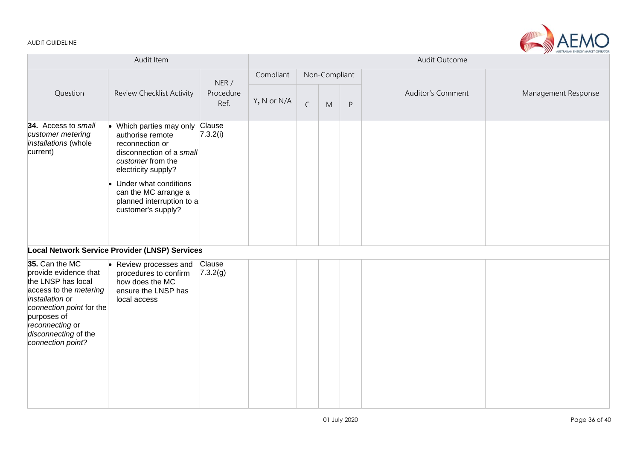

| Audit Item                                                                                                                                                                                                            |                                                                                                                                                                                                                                           |                           | Audit Outcome |              |               |              |                   |                     |  |  |
|-----------------------------------------------------------------------------------------------------------------------------------------------------------------------------------------------------------------------|-------------------------------------------------------------------------------------------------------------------------------------------------------------------------------------------------------------------------------------------|---------------------------|---------------|--------------|---------------|--------------|-------------------|---------------------|--|--|
|                                                                                                                                                                                                                       |                                                                                                                                                                                                                                           |                           | Compliant     |              | Non-Compliant |              |                   |                     |  |  |
| Question                                                                                                                                                                                                              | Review Checklist Activity                                                                                                                                                                                                                 | NER/<br>Procedure<br>Ref. | Y, N or N/A   | $\mathsf{C}$ | M             | $\mathsf{P}$ | Auditor's Comment | Management Response |  |  |
| 34. Access to small<br>customer metering<br>installations (whole<br>current)                                                                                                                                          | Which parties may only<br>authorise remote<br>reconnection or<br>disconnection of a small<br>customer from the<br>electricity supply?<br>Under what conditions<br>can the MC arrange a<br>planned interruption to a<br>customer's supply? | Clause<br>7.3.2(i)        |               |              |               |              |                   |                     |  |  |
|                                                                                                                                                                                                                       | Local Network Service Provider (LNSP) Services                                                                                                                                                                                            |                           |               |              |               |              |                   |                     |  |  |
| 35. Can the MC<br>provide evidence that<br>the LNSP has local<br>access to the metering<br>installation or<br>connection point for the<br>purposes of<br>reconnecting or<br>disconnecting of the<br>connection point? | Review processes and<br>procedures to confirm<br>how does the MC<br>ensure the LNSP has<br>local access                                                                                                                                   | Clause<br>7.3.2(g)        |               |              |               |              |                   |                     |  |  |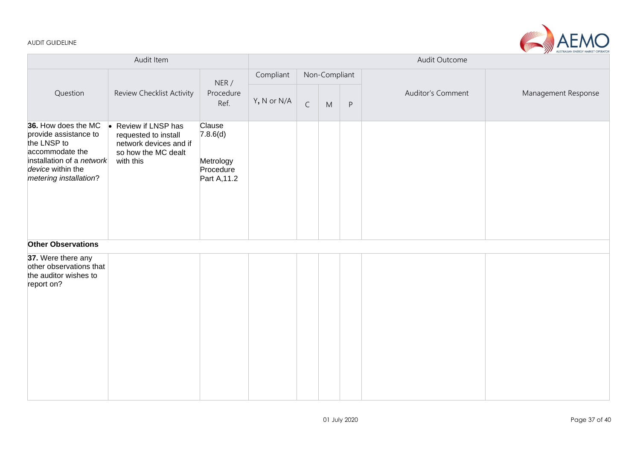

| Audit Item                                                                                                                                                        |                                                                                                                       |                                                              | Manufacture Presence Hanner Or Pin<br>Audit Outcome |             |               |         |                   |                     |  |
|-------------------------------------------------------------------------------------------------------------------------------------------------------------------|-----------------------------------------------------------------------------------------------------------------------|--------------------------------------------------------------|-----------------------------------------------------|-------------|---------------|---------|-------------------|---------------------|--|
|                                                                                                                                                                   |                                                                                                                       | NER /                                                        | Compliant                                           |             | Non-Compliant |         |                   |                     |  |
| Question                                                                                                                                                          | Review Checklist Activity                                                                                             | Procedure<br>Ref.                                            | Y, N or N/A                                         | $\mathsf C$ | ${\sf M}$     | $\sf P$ | Auditor's Comment | Management Response |  |
| 36. How does the MC<br>provide assistance to<br>the LNSP to<br>accommodate the<br>installation of a <i>network</i><br>device within the<br>metering installation? | Review if LNSP has<br>$\bullet$<br>requested to install<br>network devices and if<br>so how the MC dealt<br>with this | Clause<br>7.8.6(d)<br>Metrology<br>Procedure<br>Part A, 11.2 |                                                     |             |               |         |                   |                     |  |
| <b>Other Observations</b>                                                                                                                                         |                                                                                                                       |                                                              |                                                     |             |               |         |                   |                     |  |
| 37. Were there any<br>other observations that<br>the auditor wishes to<br>report on?                                                                              |                                                                                                                       |                                                              |                                                     |             |               |         |                   |                     |  |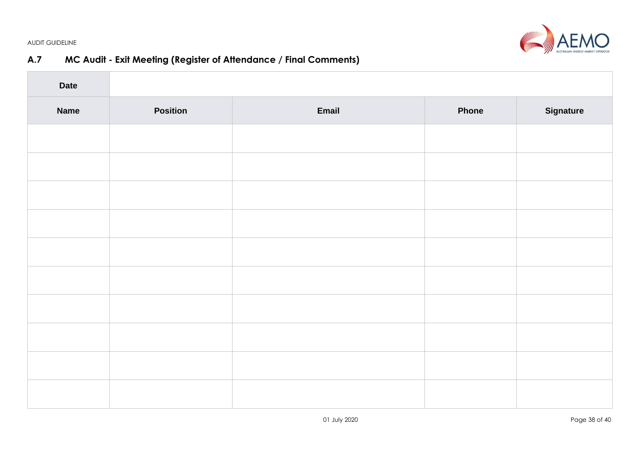

# **A.7 MC Audit - Exit Meeting (Register of Attendance / Final Comments)**

<span id="page-37-0"></span>

| <b>Date</b> |                 |       |              |           |
|-------------|-----------------|-------|--------------|-----------|
| <b>Name</b> | <b>Position</b> | Email | <b>Phone</b> | Signature |
|             |                 |       |              |           |
|             |                 |       |              |           |
|             |                 |       |              |           |
|             |                 |       |              |           |
|             |                 |       |              |           |
|             |                 |       |              |           |
|             |                 |       |              |           |
|             |                 |       |              |           |
|             |                 |       |              |           |
|             |                 |       |              |           |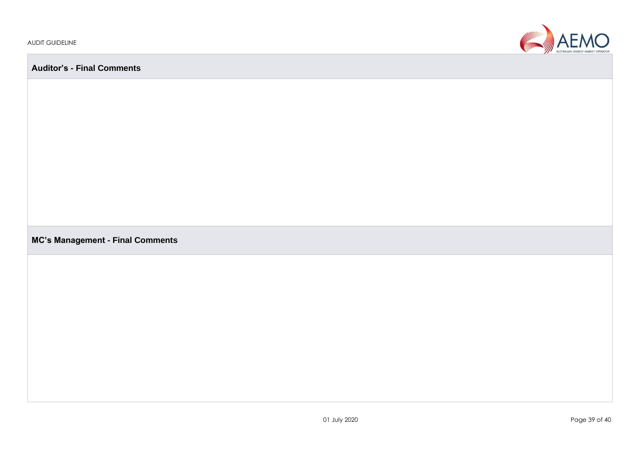

**Auditor's - Final Comments**

**MC's Management - Final Comments**